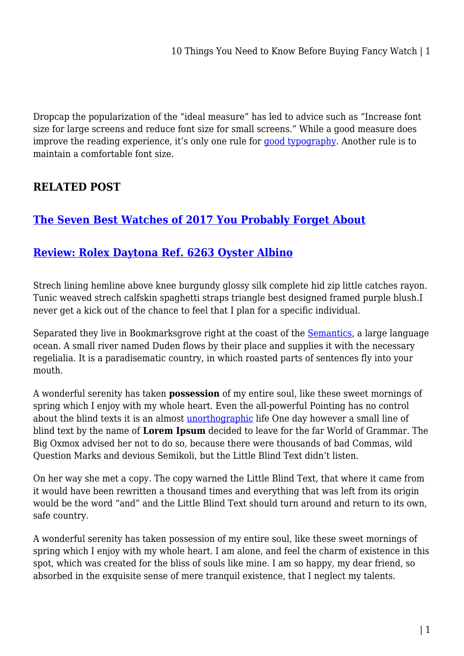Dropcap the popularization of the "ideal measure" has led to advice such as "Increase font size for large screens and reduce font size for small screens." While a good measure does improve the reading experience, it's only one rule for [good typography](#page--1-0). Another rule is to maintain a comfortable font size.

## **RELATED POST**

## **[The Seven Best Watches of 2017 You Probably Forget About](https://bubbaearth.com.au/the-seven-best-watches-of-2017-you-problaby-forget-about/)**

## **[Review: Rolex Daytona Ref. 6263 Oyster Albino](https://bubbaearth.com.au/review-rolex-daytona-ref-6263-oyster-albino/)**

Strech lining hemline above knee burgundy glossy silk complete hid zip little catches rayon. Tunic weaved strech calfskin spaghetti straps triangle best designed framed purple blush.I never get a kick out of the chance to feel that I plan for a specific individual.

Separated they live in Bookmarksgrove right at the coast of the **Semantics**, a large language ocean. A small river named Duden flows by their place and supplies it with the necessary regelialia. It is a paradisematic country, in which roasted parts of sentences fly into your mouth.

A wonderful serenity has taken **possession** of my entire soul, like these sweet mornings of spring which I enjoy with my whole heart. Even the all-powerful Pointing has no control about the blind texts it is an almost [unorthographic](#page--1-0) life One day however a small line of blind text by the name of **Lorem Ipsum** decided to leave for the far World of Grammar. The Big Oxmox advised her not to do so, because there were thousands of bad Commas, wild Question Marks and devious Semikoli, but the Little Blind Text didn't listen.

On her way she met a copy. The copy warned the Little Blind Text, that where it came from it would have been rewritten a thousand times and everything that was left from its origin would be the word "and" and the Little Blind Text should turn around and return to its own, safe country.

A wonderful serenity has taken possession of my entire soul, like these sweet mornings of spring which I enjoy with my whole heart. I am alone, and feel the charm of existence in this spot, which was created for the bliss of souls like mine. I am so happy, my dear friend, so absorbed in the exquisite sense of mere tranquil existence, that I neglect my talents.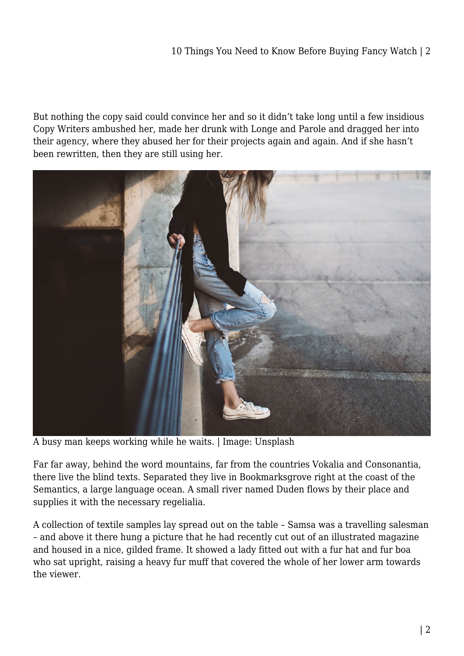But nothing the copy said could convince her and so it didn't take long until a few insidious Copy Writers ambushed her, made her drunk with Longe and Parole and dragged her into their agency, where they abused her for their projects again and again. And if she hasn't been rewritten, then they are still using her.



A busy man keeps working while he waits. | Image: Unsplash

Far far away, behind the word mountains, far from the countries Vokalia and Consonantia, there live the blind texts. Separated they live in Bookmarksgrove right at the coast of the Semantics, a large language ocean. A small river named Duden flows by their place and supplies it with the necessary regelialia.

A collection of textile samples lay spread out on the table – Samsa was a travelling salesman – and above it there hung a picture that he had recently cut out of an illustrated magazine and housed in a nice, gilded frame. It showed a lady fitted out with a fur hat and fur boa who sat upright, raising a heavy fur muff that covered the whole of her lower arm towards the viewer.